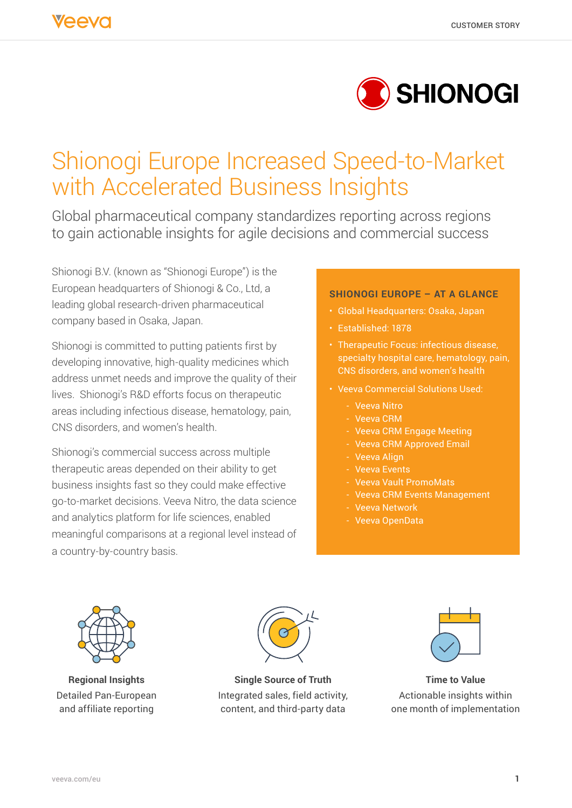

# Shionogi Europe Increased Speed-to-Market with Accelerated Business Insights

Global pharmaceutical company standardizes reporting across regions to gain actionable insights for agile decisions and commercial success

Shionogi B.V. (known as "Shionogi Europe") is the European headquarters of Shionogi & Co., Ltd, a leading global research-driven pharmaceutical company based in Osaka, Japan.

Shionogi is committed to putting patients first by developing innovative, high-quality medicines which address unmet needs and improve the quality of their lives. Shionogi's R&D efforts focus on therapeutic areas including infectious disease, hematology, pain, CNS disorders, and women's health.

Shionogi's commercial success across multiple therapeutic areas depended on their ability to get business insights fast so they could make effective go-to-market decisions. Veeva Nitro, the data science and analytics platform for life sciences, enabled meaningful comparisons at a regional level instead of a country-by-country basis.

#### **SHIONOGI EUROPE – AT A GLANCE**

- Global Headquarters: Osaka, Japan
- Established: 1878
- Therapeutic Focus: infectious disease, specialty hospital care, hematology, pain, CNS disorders, and women's health
- Veeva Commercial Solutions Used:
	- Veeva Nitro
	- Veeva CRM
	- Veeva CRM Engage Meeting
	- Veeva CRM Approved Email
	- Veeva Align
	- Veeva Events
	- Veeva Vault PromoMats
	- Veeva CRM Events Management
	- Veeva Network
	- Veeva OpenData



**Regional Insights** Detailed Pan-European and affiliate reporting



**Single Source of Truth**  Integrated sales, field activity, content, and third-party data



**Time to Value** Actionable insights within one month of implementation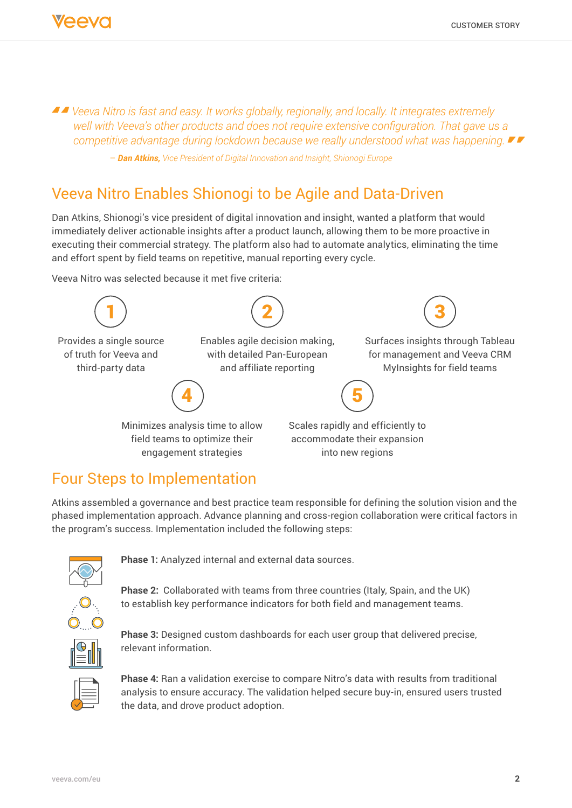*Veeva Nitro is fast and easy. It works globally, regionally, and locally. It integrates extremely well with Veeva's other products and does not require extensive configuration. That gave us a competitive advantage during lockdown because we really understood what was happening.* 

– *Dan Atkins, Vice President of Digital Innovation and Insight, Shionogi Europe*

## Veeva Nitro Enables Shionogi to be Agile and Data-Driven

Dan Atkins, Shionogi's vice president of digital innovation and insight, wanted a platform that would immediately deliver actionable insights after a product launch, allowing them to be more proactive in executing their commercial strategy. The platform also had to automate analytics, eliminating the time and effort spent by field teams on repetitive, manual reporting every cycle.

Veeva Nitro was selected because it met five criteria:



## Four Steps to Implementation

Atkins assembled a governance and best practice team responsible for defining the solution vision and the phased implementation approach. Advance planning and cross-region collaboration were critical factors in the program's success. Implementation included the following steps:



**Phase 1:** Analyzed internal and external data sources.

**Phase 2:** Collaborated with teams from three countries (Italy, Spain, and the UK) to establish key performance indicators for both field and management teams.



**Phase 3:** Designed custom dashboards for each user group that delivered precise, relevant information.



**Phase 4:** Ran a validation exercise to compare Nitro's data with results from traditional analysis to ensure accuracy. The validation helped secure buy-in, ensured users trusted the data, and drove product adoption.